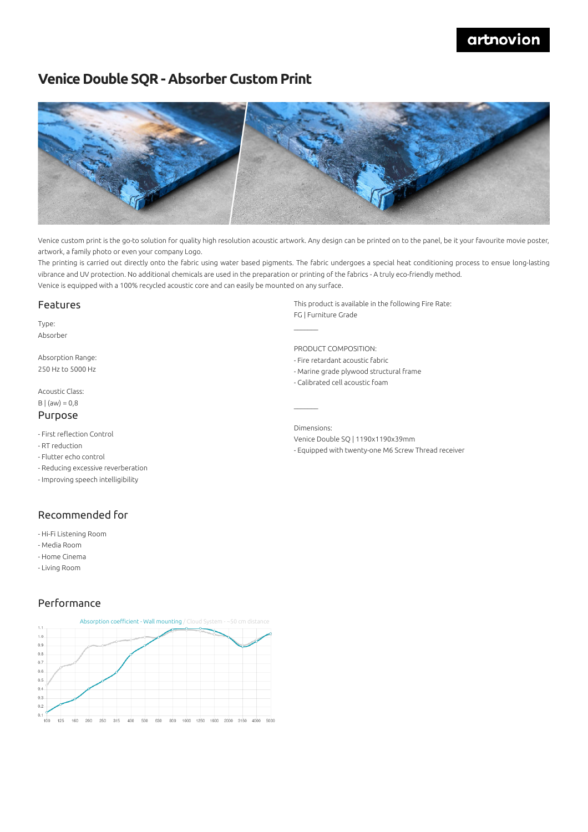# artnovion

# **Venice Double SQR - Absorber Custom Print**



Venice custom print is the go-to solution for quality high resolution acoustic artwork. Any design can be printed on to the panel, be it your favourite movie poster, artwork, a family photo or even your company Logo.

The printing is carried out directly onto the fabric using water based pigments. The fabric undergoes a special heat conditioning process to ensue long-lasting vibrance and UV protection. No additional chemicals are used in the preparation or printing of the fabrics - A truly eco-friendly method. Venice is equipped with a 100% recycled acoustic core and can easily be mounted on any surface.

 $\mathcal{L}=\mathcal{L}$ 

### Features

Type: Absorber

Absorption Range: 250 Hz to 5000 Hz

#### Acoustic Class:  $B | (aw) = 0,8$

### Purpose

- First reflection Control
- RT reduction
- Flutter echo control
- Reducing excessive reverberation
- Improving speech intelligibility

### Recommended for

- Hi-Fi Listening Room
- Media Room
- Home Cinema
- Living Room

### Performance



This product is available in the following Fire Rate: FG | Furniture Grade

PRODUCT COMPOSITION:

- Fire retardant acoustic fabric
- Marine grade plywood structural frame
- Calibrated cell acoustic foam

Dimensions: Venice Double SQ | 1190x1190x39mm - Equipped with twenty-one M6 Screw Thread receiver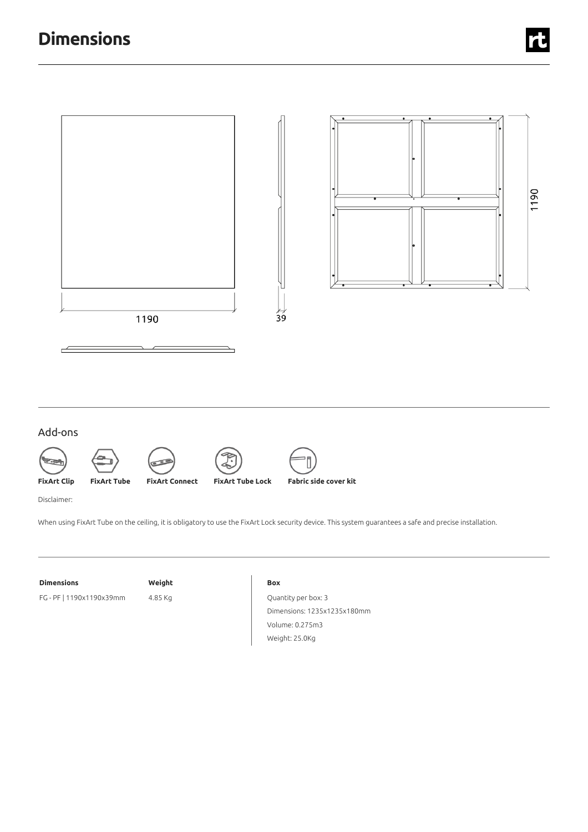

### Add-ons













Disclaimer:

When using FixArt Tube on the ceiling, it is obligatory to use the FixArt Lock security device. This system guarantees a safe and precise installation.

#### **Dimensions Weight**

FG - PF | 1190x1190x39mm 4.85 Kg

#### **Box**

Quantity per box: 3 Dimensions: 1235x1235x180mm Volume: 0.275m3 Weight: 25.0Kg